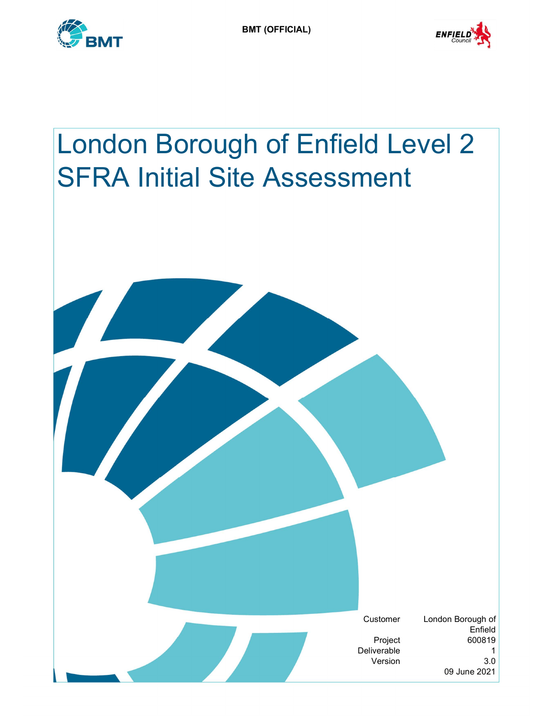



BMT (OFFICIAL)

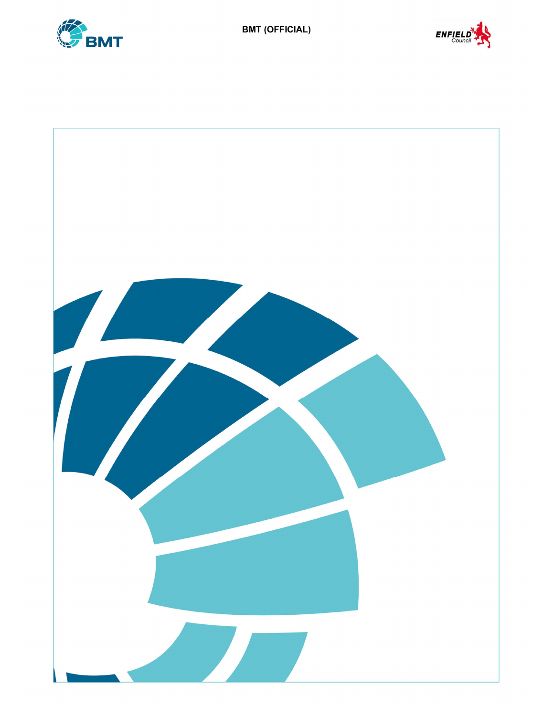



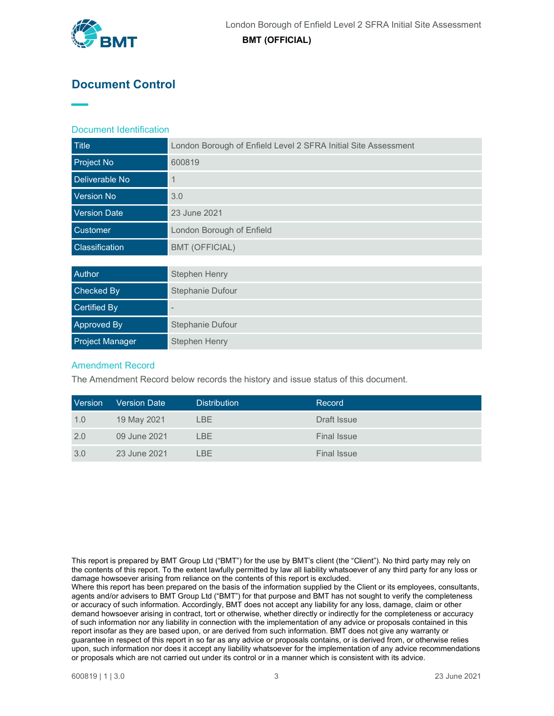

# Document Control ̶

### Document Identification

| <b>Title</b>           | London Borough of Enfield Level 2 SFRA Initial Site Assessment |  |
|------------------------|----------------------------------------------------------------|--|
| <b>Project No</b>      | 600819                                                         |  |
| Deliverable No         | 1                                                              |  |
| Version No             | 3.0                                                            |  |
| <b>Version Date</b>    | 23 June 2021                                                   |  |
| Customer               | London Borough of Enfield                                      |  |
| Classification         | <b>BMT (OFFICIAL)</b>                                          |  |
|                        |                                                                |  |
| Author                 | <b>Stephen Henry</b>                                           |  |
| Checked By             | Stephanie Dufour                                               |  |
| <b>Certified By</b>    | $\overline{\phantom{0}}$                                       |  |
| <b>Approved By</b>     | Stephanie Dufour                                               |  |
| <b>Project Manager</b> | <b>Stephen Henry</b>                                           |  |

### Amendment Record

The Amendment Record below records the history and issue status of this document.

| Version | <b>Version Date</b> | <b>Distribution</b> | Record             |
|---------|---------------------|---------------------|--------------------|
| 1.0     | 19 May 2021         | LBE.                | Draft Issue        |
| 2.0     | 09 June 2021        | LBE.                | <b>Final Issue</b> |
| 3.0     | 23 June 2021        | LBE.                | <b>Final Issue</b> |

This report is prepared by BMT Group Ltd ("BMT") for the use by BMT's client (the "Client"). No third party may rely on the contents of this report. To the extent lawfully permitted by law all liability whatsoever of any third party for any loss or damage howsoever arising from reliance on the contents of this report is excluded.

Where this report has been prepared on the basis of the information supplied by the Client or its employees, consultants, agents and/or advisers to BMT Group Ltd ("BMT") for that purpose and BMT has not sought to verify the completeness or accuracy of such information. Accordingly, BMT does not accept any liability for any loss, damage, claim or other demand howsoever arising in contract, tort or otherwise, whether directly or indirectly for the completeness or accuracy of such information nor any liability in connection with the implementation of any advice or proposals contained in this report insofar as they are based upon, or are derived from such information. BMT does not give any warranty or guarantee in respect of this report in so far as any advice or proposals contains, or is derived from, or otherwise relies upon, such information nor does it accept any liability whatsoever for the implementation of any advice recommendations or proposals which are not carried out under its control or in a manner which is consistent with its advice.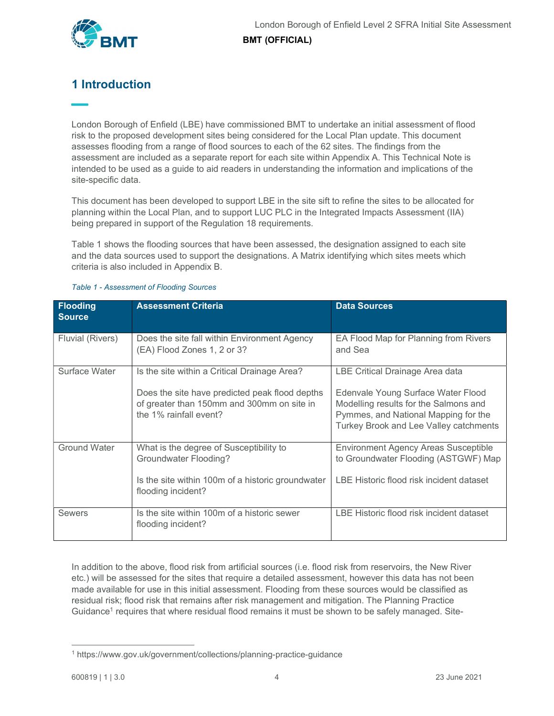

**1 Introduction**<br>——<br>London Borough of Enfield (LBE) have commissioned BMT to undertake an initial assessment of flood risk to the proposed development sites being considered for the Local Plan update. This document assesses flooding from a range of flood sources to each of the 62 sites. The findings from the assessment are included as a separate report for each site within Appendix A. This Technical Note is intended to be used as a guide to aid readers in understanding the information and implications of the site-specific data.

This document has been developed to support LBE in the site sift to refine the sites to be allocated for planning within the Local Plan, and to support LUC PLC in the Integrated Impacts Assessment (IIA) being prepared in support of the Regulation 18 requirements.

Table 1 shows the flooding sources that have been assessed, the designation assigned to each site and the data sources used to support the designations. A Matrix identifying which sites meets which criteria is also included in Appendix B.

| <b>Flooding</b><br><b>Source</b> | <b>Assessment Criteria</b>                                                                                                                                             | <b>Data Sources</b>                                                                                                                                                                              |
|----------------------------------|------------------------------------------------------------------------------------------------------------------------------------------------------------------------|--------------------------------------------------------------------------------------------------------------------------------------------------------------------------------------------------|
| Fluvial (Rivers)                 | Does the site fall within Environment Agency<br>(EA) Flood Zones 1, 2 or 3?                                                                                            | EA Flood Map for Planning from Rivers<br>and Sea                                                                                                                                                 |
| Surface Water                    | Is the site within a Critical Drainage Area?<br>Does the site have predicted peak flood depths<br>of greater than 150mm and 300mm on site in<br>the 1% rainfall event? | LBE Critical Drainage Area data<br>Edenvale Young Surface Water Flood<br>Modelling results for the Salmons and<br>Pymmes, and National Mapping for the<br>Turkey Brook and Lee Valley catchments |
| Ground Water                     | What is the degree of Susceptibility to<br>Groundwater Flooding?<br>Is the site within 100m of a historic groundwater<br>flooding incident?                            | Environment Agency Areas Susceptible<br>to Groundwater Flooding (ASTGWF) Map<br>LBE Historic flood risk incident dataset                                                                         |
| Sewers                           | Is the site within 100m of a historic sewer<br>flooding incident?                                                                                                      | LBE Historic flood risk incident dataset                                                                                                                                                         |

### Table 1 - Assessment of Flooding Sources

In addition to the above, flood risk from artificial sources (i.e. flood risk from reservoirs, the New River etc.) will be assessed for the sites that require a detailed assessment, however this data has not been made available for use in this initial assessment. Flooding from these sources would be classified as residual risk; flood risk that remains after risk management and mitigation. The Planning Practice Guidance $^1$  requires that where residual flood remains it must be shown to be safely managed. Site-

<sup>1</sup> https://www.gov.uk/government/collections/planning-practice-guidance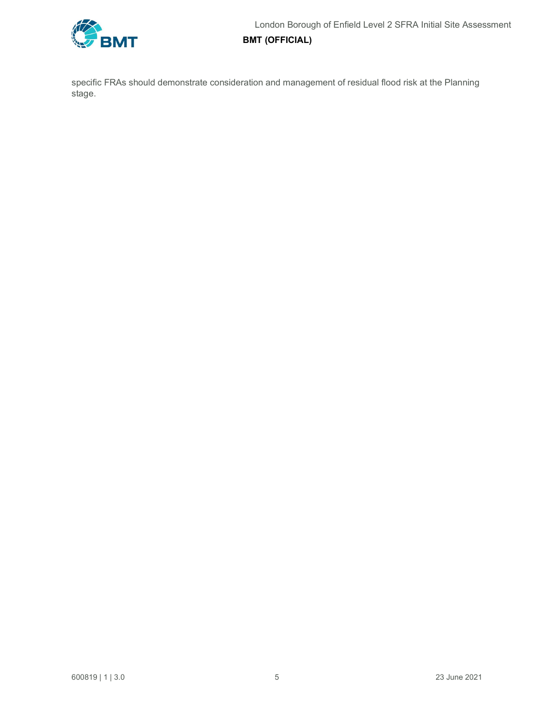BMT (OFFICIAL)

specific FRAs should demonstrate consideration and management of residual flood risk at the Planning stage.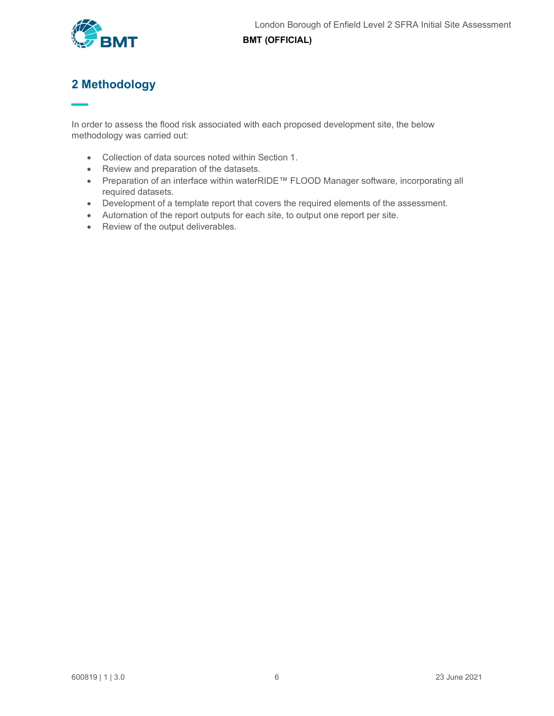

# 2 Methodology ̶

In order to assess the flood risk associated with each proposed development site, the below methodology was carried out:

- Collection of data sources noted within Section 1.
- Review and preparation of the datasets.
- Preparation of an interface within waterRIDE™ FLOOD Manager software, incorporating all required datasets.
- Development of a template report that covers the required elements of the assessment.
- Automation of the report outputs for each site, to output one report per site.
- Review of the output deliverables.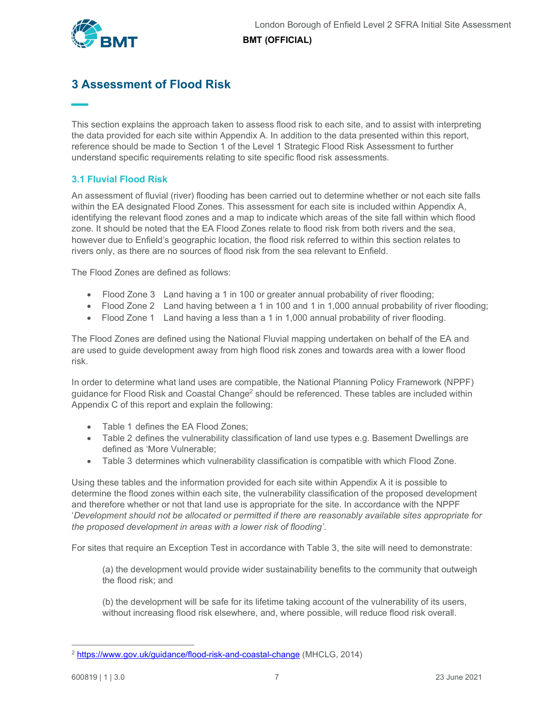

3 Assessment of Flood Risk<br>——<br>This section explains the approach taken to assess flood risk to each site, and to assist with interpreting the data provided for each site within Appendix A. In addition to the data presented within this report, reference should be made to Section 1 of the Level 1 Strategic Flood Risk Assessment to further understand specific requirements relating to site specific flood risk assessments.

### 3.1 Fluvial Flood Risk

An assessment of fluvial (river) flooding has been carried out to determine whether or not each site falls within the EA designated Flood Zones. This assessment for each site is included within Appendix A, identifying the relevant flood zones and a map to indicate which areas of the site fall within which flood zone. It should be noted that the EA Flood Zones relate to flood risk from both rivers and the sea, however due to Enfield's geographic location, the flood risk referred to within this section relates to rivers only, as there are no sources of flood risk from the sea relevant to Enfield.

The Flood Zones are defined as follows:

- Flood Zone 3 Land having a 1 in 100 or greater annual probability of river flooding;
- Flood Zone 2 Land having between a 1 in 100 and 1 in 1,000 annual probability of river flooding;
- Flood Zone 1 Land having a less than a 1 in 1,000 annual probability of river flooding.

The Flood Zones are defined using the National Fluvial mapping undertaken on behalf of the EA and are used to guide development away from high flood risk zones and towards area with a lower flood risk.

In order to determine what land uses are compatible, the National Planning Policy Framework (NPPF) guidance for Flood Risk and Coastal Change<sup>2</sup> should be referenced. These tables are included within Appendix C of this report and explain the following:

- Table 1 defines the EA Flood Zones;
- Table 2 defines the vulnerability classification of land use types e.g. Basement Dwellings are defined as 'More Vulnerable;
- Table 3 determines which vulnerability classification is compatible with which Flood Zone.

Using these tables and the information provided for each site within Appendix A it is possible to determine the flood zones within each site, the vulnerability classification of the proposed development and therefore whether or not that land use is appropriate for the site. In accordance with the NPPF 'Development should not be allocated or permitted if there are reasonably available sites appropriate for

the proposed development in areas with a lower risk of flooding'.<br>For sites that require an Exception Test in accordance with Table 3, the site will need to demonstrate:

(a) the development would provide wider sustainability benefits to the community that outweigh the flood risk; and

(b) the development will be safe for its lifetime taking account of the vulnerability of its users, without increasing flood risk elsewhere, and, where possible, will reduce flood risk overall. 2

https://www.gov.uk/guidance/flood-risk-and-coastal-change (MHCLG, 2014)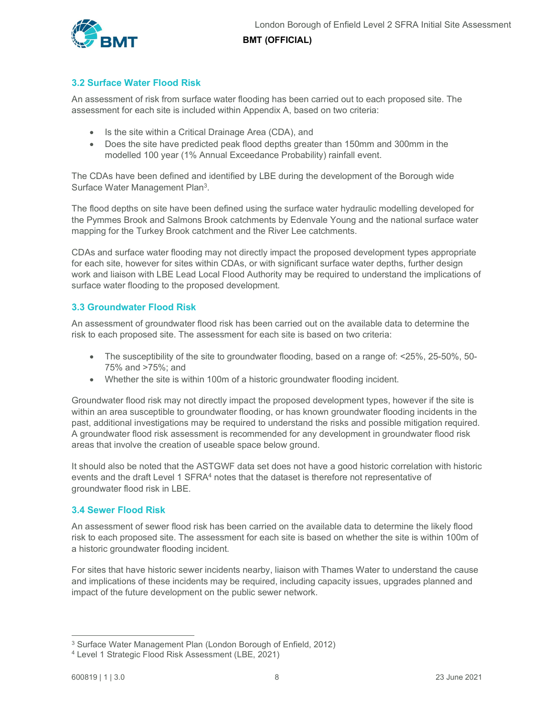

BMT (OFFICIAL)

## 3.2 Surface Water Flood Risk

An assessment of risk from surface water flooding has been carried out to each proposed site. The assessment for each site is included within Appendix A, based on two criteria:

- Is the site within a Critical Drainage Area (CDA), and
- Does the site have predicted peak flood depths greater than 150mm and 300mm in the modelled 100 year (1% Annual Exceedance Probability) rainfall event.

The CDAs have been defined and identified by LBE during the development of the Borough wide Surface Water Management Plan<sup>3</sup>.

. The flood depths on site have been defined using the surface water hydraulic modelling developed for the Pymmes Brook and Salmons Brook catchments by Edenvale Young and the national surface water mapping for the Turkey Brook catchment and the River Lee catchments.

CDAs and surface water flooding may not directly impact the proposed development types appropriate for each site, however for sites within CDAs, or with significant surface water depths, further design work and liaison with LBE Lead Local Flood Authority may be required to understand the implications of surface water flooding to the proposed development.

### 3.3 Groundwater Flood Risk

An assessment of groundwater flood risk has been carried out on the available data to determine the risk to each proposed site. The assessment for each site is based on two criteria:

- The susceptibility of the site to groundwater flooding, based on a range of: <25%, 25-50%, 50-75% and >75%; and
- Whether the site is within 100m of a historic groundwater flooding incident.

Groundwater flood risk may not directly impact the proposed development types, however if the site is within an area susceptible to groundwater flooding, or has known groundwater flooding incidents in the past, additional investigations may be required to understand the risks and possible mitigation required. A groundwater flood risk assessment is recommended for any development in groundwater flood risk areas that involve the creation of useable space below ground.

It should also be noted that the ASTGWF data set does not have a good historic correlation with historic events and the draft Level 1 SFRA $^{\rm 4}$  notes that the dataset is therefore not representative of groundwater flood risk in LBE.

### 3.4 Sewer Flood Risk

An assessment of sewer flood risk has been carried on the available data to determine the likely flood risk to each proposed site. The assessment for each site is based on whether the site is within 100m of a historic groundwater flooding incident.

For sites that have historic sewer incidents nearby, liaison with Thames Water to understand the cause and implications of these incidents may be required, including capacity issues, upgrades planned and impact of the future development on the public sewer network.

<sup>&</sup>lt;sup>3</sup> Surface Water Management Plan (London Borough of Enfield, 2012)<br><sup>4</sup> Level 1 Strategic Flood Risk Assessment (LBE, 2021)

Level 1 Strategic Flood Risk Assessment (LBE, 2021)